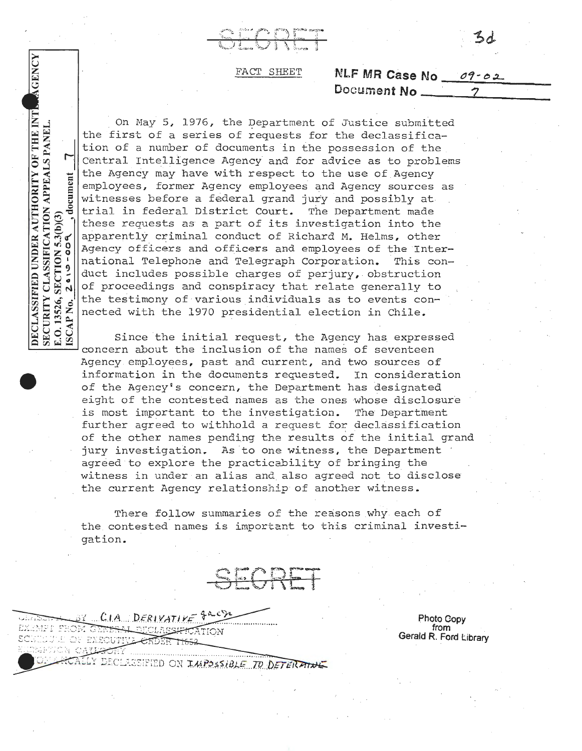## FACT SHEET **NLF MR Case No**  $\overline{O7 - 0.2}$

DECLASSIFIED UNDER AUTHORITY OF THE INT. SECURITY CLASSIFICATION APPEALS PANEL cument  $SECTION 5.3(b)(3)$ <br>2019-004  $\mathbf{d}$ E.O. 13526, S.<br>ISCAP No.

AGENCY

On May 5, 1976, the Department of Justice submitted the first of a series of requests for the declassification of a number of documents in the possession of the Central Intelligence Agency and for advice as to problems the Agency may have with respect to the use of Agency employees, former Agency employees and Agency sources as witnesses before a federal grand jury and possibly at trial in federal District Court. The Department made these requests as a part of its investigation into the apparently criminal conduct of Richard M. Helms, other Agency officers and officers and employees of the International Telephone and Telegraph Corporation. This conduct includes possible charges of perjury, obstruction of proceedings and conspiracy that relate generally to the testimony of various individuals as to events connected with the 1970 presidential election in Chile.

Since the initial request, the Agency has expressed concern about the inclusion of the names of seventeen Agency employees, past and current, and two sources of information in the documents requested. In consideration of the Agency's concern, the Department has designated e ight of the contested riames as the ones whose disclosure is most important to the investigation. The Department further agreed to withhold a request for declassification of the other names pending the results of the initial grand jury investigation. As to one witness, the Department agreed to explore the practicability of bringing the witness in under an alias and also agreed not to disclose the current Agency relationship of another witness.

There follow summaries of the reasons why each of the contested names is important to this criminal investigation.

SECRE

BY CLA DERIVATIVE EXEMPT FROM GE<del>RERAL O</del>ICLASSI<del>P</del> **SILUL OF EXECUTIVE CR** METICA C SIFIED ON IMPOSSIBLE TO DETERATURE

**Photo Gopy from**  Gerald R. Ford Library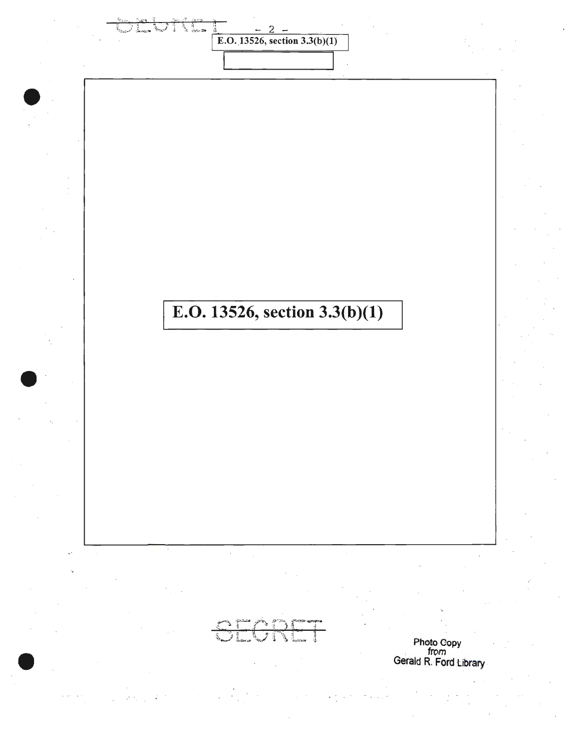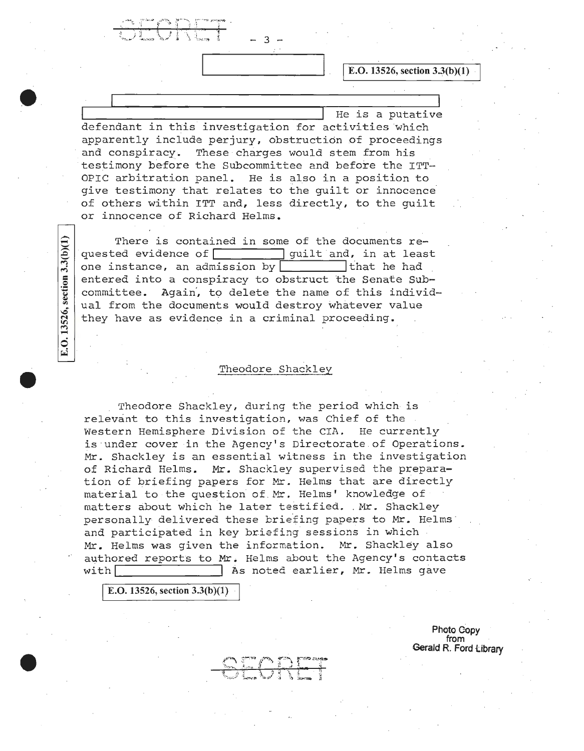E.O. 13526, section 3.3(b)(1)

He is a putative defendant in this investigation for activities which apparently include perjury, obstruction of proceedings and conspiracy. These charges would stem from his testimony before the Subcommittee and before the ITT-OPIC arbitration panel. He is also in a position to give testimony that relates to the guilt or innocence of others within ITT and, less directly, to the guilt or innocence of Richard Helms.

- 3

There is contained in some of the documents requested evidence of  $\Box$  quilt and, in at least one instance, an admission by that he had entered into a conspiracy to obstruct the Senate Sub committee. Again', to delete the name of this individ ual from the documents would destroy whatever value they have as evidence in a criminal proceeding.

## Theodore Shackley

Theodore Shackley, during the period which is relevant to this investigation, was Chief of the Western Hemisphere Division of the CIA. He currently is under cover in the Agency's Directorate of Operations. Mr. Shackley is an essential witness in the investigation of Richard Helms. Mr. Shackley supervised the prepara tion of briefing papers for Mr. Helms that are directly material to the question of Mr. Helms' knowledge of matters about which he later testified. Mr. Shackley personally delivered these briefing papers to Mr. Helms .<br>and participated in key briefing sessions in which Mr. Helms was given the information. Mr. Shackley also authored reports to Mr. Helms about tne Agency's contacts with <br>
As noted earlier, Mr. Helms gave

**E.O.** 13526, section 3.3(b)(1)

E.O. 13526, section 3.3(b)(1)

**Photo Copy from Gerald R. Ford Library**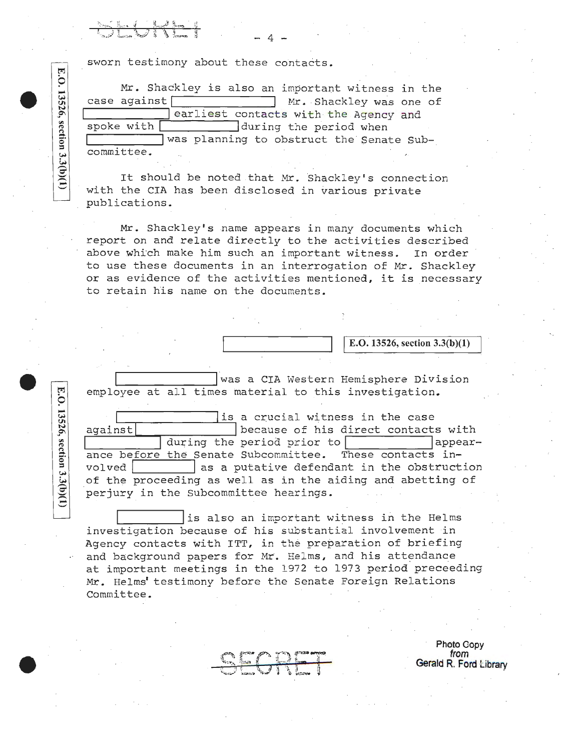sworn testimony about these contacts.

...... Mr. Shackley is also an important witness in the **e til** case against Nr . Shackley was one of **<sup>N</sup>** ease against<br> **19th Contacts with the Agency and spoke with during the period when**<br>  $\frac{1}{2}$  during the period when was planning to obstruct the Senate Sub-~ committee.

- 4

It should be noted that Mr. Shackley's connection with the CIA has been disclosed in various private publications.

Mr. Shackley's name appears in many documents which report on and relate directly to the activities described above which make him such an important witness. In order to use these documents in an interrogation of Mr. Shackley or as evidence of the activities mentioned, it is necessary to retain his name on the documents.

I **E.O. 13526, section 3.3(b)(l)** 

was a CIA Western Hemisphere Division employee at all times material to this investigation.

a crucial witness in the case<br>against<br>against<br>auring the period prior to<br>appearduring the period prior to ance before the Senate Subcommittee. These contacts involved  $\vert$  as a putative defendant in the obstruction of the proceeding as well as in the aiding and abetting of perjury in the Subcommittee hearings.

is also an important witness in the Helms investigation because of his substantial involvement in Agency contacts with ITT, in the preparation of briefing and background papers for Mr. Helms, and his attendance at important meetings in the 1972 to 1973 period preceeding Mr. Helms' testimony before the Senate Foreign Relations Committee.

**Photo Copy from Gerald R. Ford Library** 

**trj 9**   $\frac{2}{3}$  $\overline{\tilde{z}}$ <u>ছু</u>|

E.O. 13526, section 3.3(b)(1)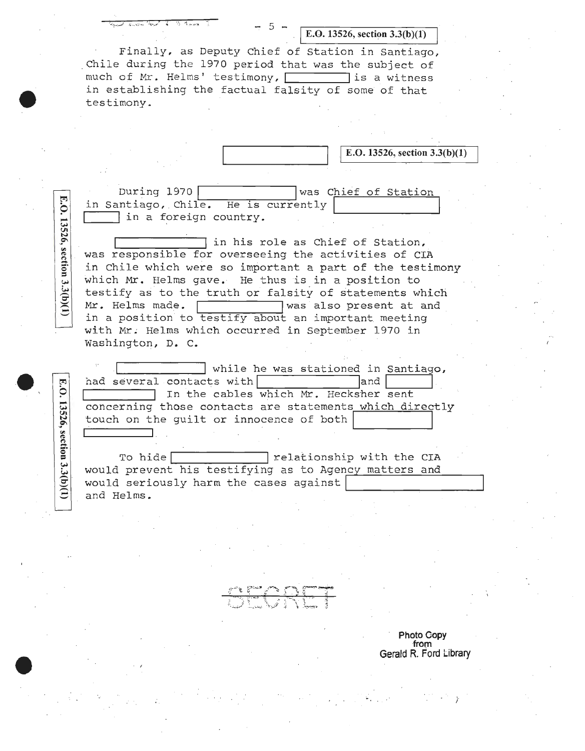| . |           |  |
|---|-----------|--|
| × | ۰,<br>. . |  |

E.O. 13526, section 3.3(b)(1)

Finally, as Deputy Chief of Station in Santiago, chile during the 1970 period that was the subject of much of Mr. Helms' testimony, which is a witness in establishing the factual falsity of some of that testimony.

I **E.O. 13526, section 3.3(b)(l)** 

During 1970 was Chief of Station in Santiago, Chile. He is currently I in a foreign country.

E.O. 13526, section 3.3(b)(1)

E.O.

13526, section 3.3(b)(1)

I in his role as Chief of Station, was responsible for overseeing the activities of CIA in Chile which were so important a part of the testimony which Mr. Helms gave. He thus is in a position to testify as to the truth or falsity of statements which<br>Mr. Helms made.  $\begin{bmatrix} \text{max} \\ \text{max} \end{bmatrix}$  was also present at and Was also present at and in a position to testify about an important meeting with Mr. Helms which occurred in September 1970 in washington, D. c.

while he was stationed in Santiago, had several contacts with and In the cables which Mr. Hecksher sent concerning those contacts are statements which directly touch on the guilt or innocence of both

To hide relationship with the CIA would prevent his testifying as to Agency matters and would prevent his testirying as to Agency matters and<br>would seriously harm the cases against<br>and Helms.

**Photo Gopy from Gerald R. Ford Library** 

)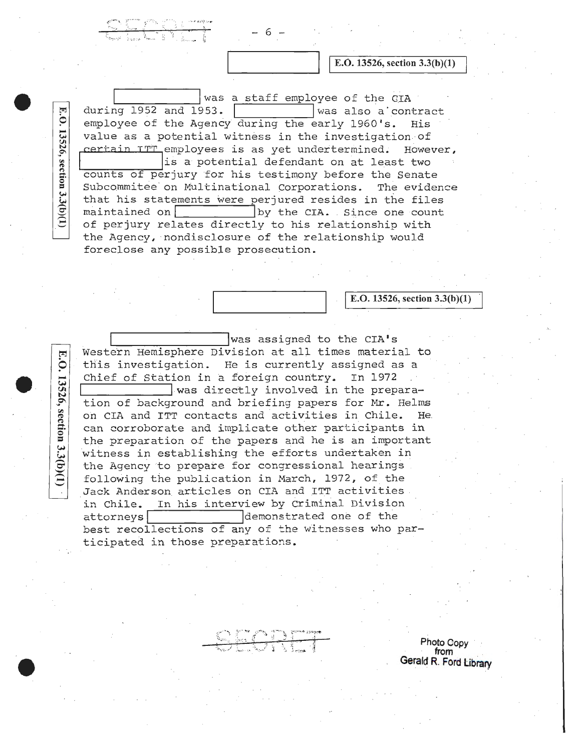was a staff employee of the GIA<br>153.  $\sqrt{\frac{1}{100}}$  was also a contract during  $1952$  and  $1953$ . employee of the Agency during the early 1960's. His value as a potential witness in the investigation of certain ITT employees is as yet undertermined. However, counts of perjury for his testimony before the Senate Subcommitee on Multinational Corporations. The evidence that his statements were perjured resides in the files maintained on  $\begin{array}{|l|} \hline \text{by the CIA. Since one count} \end{array}$ by the CIA. Since one count of perjury relates directly to his relationship with the Agency, ·nondisclosure of the relationship would foreclose any possible prosecution.

E.O. 13526, section 3.3(b)(1)

E.O.

13526, section 3.3(b)(1)

- 6

**E.O. 13526, section 3.3(b)(1)** 

I **E.O. 13526, section 3.3(b)(l)** 

was assigned to the CIA's Western Hemisphere Division at all times material to this investigation. He is currently assigned as a Chief of Station in a foreign country. In 1972 Was directly involved in the preparation of background and briefing papers for Mr. Helms on CIA and ITT contacts and activities in Chile. He. can corroborate and implicate other participants in the preparation of the papers and he is an important witness in establishing the efforts undertaken in the Agency to prepate for congressional hearings following the publication in March, 1972, of the Jack Anderson articles on CIA and ITT activities. in Chile. In his interview by Criminal Division attorneys demonstrated one of the best recollections of any of the witnesses who participated in those preparations.

**Photo Copy** · **from** . **Gerald R. Ford library**